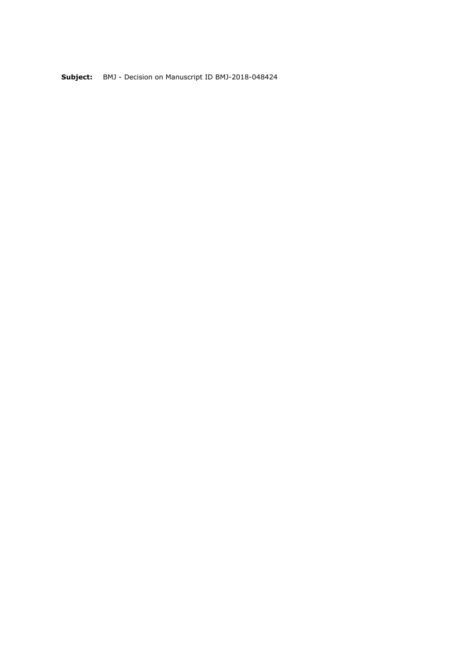**Subject:** BMJ - Decision on Manuscript ID BMJ-2018-048424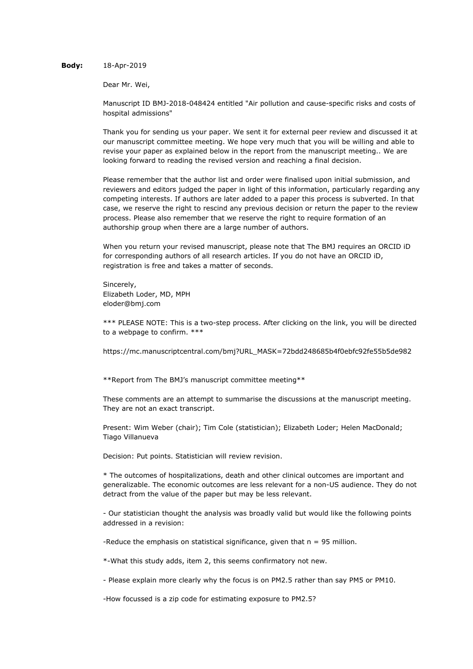# **Body:** 18-Apr-2019

Dear Mr. Wei,

Manuscript ID BMJ-2018-048424 entitled "Air pollution and cause-specific risks and costs of hospital admissions"

Thank you for sending us your paper. We sent it for external peer review and discussed it at our manuscript committee meeting. We hope very much that you will be willing and able to revise your paper as explained below in the report from the manuscript meeting.. We are looking forward to reading the revised version and reaching a final decision.

Please remember that the author list and order were finalised upon initial submission, and reviewers and editors judged the paper in light of this information, particularly regarding any competing interests. If authors are later added to a paper this process is subverted. In that case, we reserve the right to rescind any previous decision or return the paper to the review process. Please also remember that we reserve the right to require formation of an authorship group when there are a large number of authors.

When you return your revised manuscript, please note that The BMJ requires an ORCID iD for corresponding authors of all research articles. If you do not have an ORCID iD, registration is free and takes a matter of seconds.

Sincerely, Elizabeth Loder, MD, MPH eloder@bmj.com

\*\*\* PLEASE NOTE: This is a two-step process. After clicking on the link, you will be directed to a webpage to confirm. \*\*\*

https://mc.manuscriptcentral.com/bmj?URL\_MASK=72bdd248685b4f0ebfc92fe55b5de982

\*\*Report from The BMJ's manuscript committee meeting\*\*

These comments are an attempt to summarise the discussions at the manuscript meeting. They are not an exact transcript.

Present: Wim Weber (chair); Tim Cole (statistician); Elizabeth Loder; Helen MacDonald; Tiago Villanueva

Decision: Put points. Statistician will review revision.

\* The outcomes of hospitalizations, death and other clinical outcomes are important and generalizable. The economic outcomes are less relevant for a non-US audience. They do not detract from the value of the paper but may be less relevant.

- Our statistician thought the analysis was broadly valid but would like the following points addressed in a revision:

-Reduce the emphasis on statistical significance, given that  $n = 95$  million.

\*-What this study adds, item 2, this seems confirmatory not new.

- Please explain more clearly why the focus is on PM2.5 rather than say PM5 or PM10.

-How focussed is a zip code for estimating exposure to PM2.5?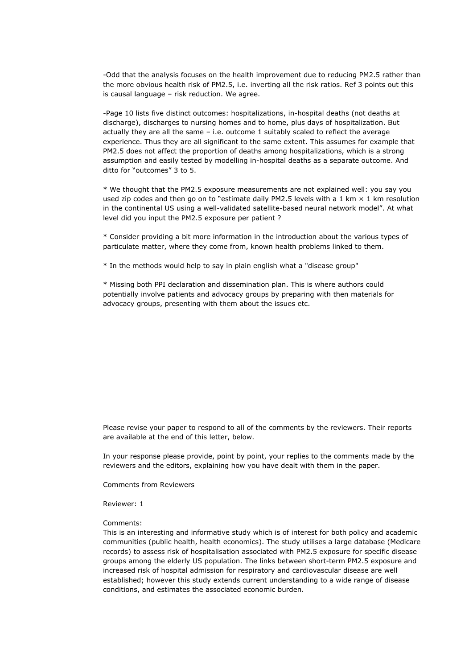-Odd that the analysis focuses on the health improvement due to reducing PM2.5 rather than the more obvious health risk of PM2.5, i.e. inverting all the risk ratios. Ref 3 points out this is causal language – risk reduction. We agree.

-Page 10 lists five distinct outcomes: hospitalizations, in-hospital deaths (not deaths at discharge), discharges to nursing homes and to home, plus days of hospitalization. But actually they are all the same – i.e. outcome 1 suitably scaled to reflect the average experience. Thus they are all significant to the same extent. This assumes for example that PM2.5 does not affect the proportion of deaths among hospitalizations, which is a strong assumption and easily tested by modelling in-hospital deaths as a separate outcome. And ditto for "outcomes" 3 to 5.

\* We thought that the PM2.5 exposure measurements are not explained well: you say you used zip codes and then go on to "estimate daily PM2.5 levels with a 1 km  $\times$  1 km resolution in the continental US using a well-validated satellite-based neural network model". At what level did you input the PM2.5 exposure per patient ?

\* Consider providing a bit more information in the introduction about the various types of particulate matter, where they come from, known health problems linked to them.

\* In the methods would help to say in plain english what a "disease group"

\* Missing both PPI declaration and dissemination plan. This is where authors could potentially involve patients and advocacy groups by preparing with then materials for advocacy groups, presenting with them about the issues etc.

Please revise your paper to respond to all of the comments by the reviewers. Their reports are available at the end of this letter, below.

In your response please provide, point by point, your replies to the comments made by the reviewers and the editors, explaining how you have dealt with them in the paper.

Comments from Reviewers

Reviewer: 1

Comments:

This is an interesting and informative study which is of interest for both policy and academic communities (public health, health economics). The study utilises a large database (Medicare records) to assess risk of hospitalisation associated with PM2.5 exposure for specific disease groups among the elderly US population. The links between short-term PM2.5 exposure and increased risk of hospital admission for respiratory and cardiovascular disease are well established; however this study extends current understanding to a wide range of disease conditions, and estimates the associated economic burden.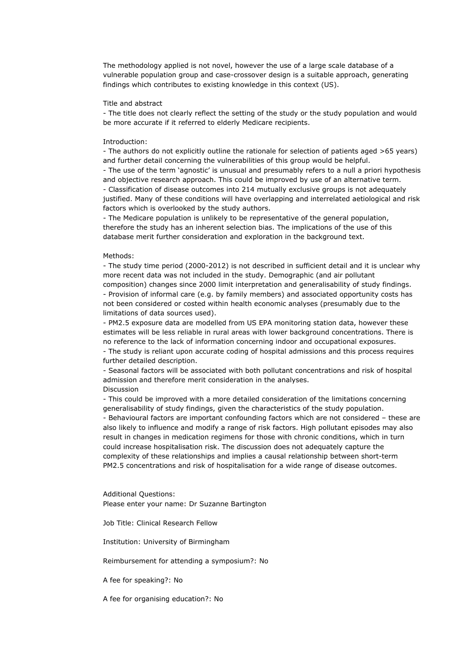The methodology applied is not novel, however the use of a large scale database of a vulnerable population group and case-crossover design is a suitable approach, generating findings which contributes to existing knowledge in this context (US).

## Title and abstract

- The title does not clearly reflect the setting of the study or the study population and would be more accurate if it referred to elderly Medicare recipients.

### Introduction:

- The authors do not explicitly outline the rationale for selection of patients aged >65 years) and further detail concerning the vulnerabilities of this group would be helpful.

- The use of the term 'agnostic' is unusual and presumably refers to a null a priori hypothesis and objective research approach. This could be improved by use of an alternative term.

- Classification of disease outcomes into 214 mutually exclusive groups is not adequately justified. Many of these conditions will have overlapping and interrelated aetiological and risk factors which is overlooked by the study authors.

- The Medicare population is unlikely to be representative of the general population, therefore the study has an inherent selection bias. The implications of the use of this database merit further consideration and exploration in the background text.

### Methods:

- The study time period (2000-2012) is not described in sufficient detail and it is unclear why more recent data was not included in the study. Demographic (and air pollutant composition) changes since 2000 limit interpretation and generalisability of study findings. - Provision of informal care (e.g. by family members) and associated opportunity costs has not been considered or costed within health economic analyses (presumably due to the limitations of data sources used).

- PM2.5 exposure data are modelled from US EPA monitoring station data, however these estimates will be less reliable in rural areas with lower background concentrations. There is no reference to the lack of information concerning indoor and occupational exposures.

- The study is reliant upon accurate coding of hospital admissions and this process requires further detailed description.

- Seasonal factors will be associated with both pollutant concentrations and risk of hospital admission and therefore merit consideration in the analyses. Discussion

- This could be improved with a more detailed consideration of the limitations concerning generalisability of study findings, given the characteristics of the study population. - Behavioural factors are important confounding factors which are not considered – these are also likely to influence and modify a range of risk factors. High pollutant episodes may also result in changes in medication regimens for those with chronic conditions, which in turn could increase hospitalisation risk. The discussion does not adequately capture the complexity of these relationships and implies a causal relationship between short-term PM2.5 concentrations and risk of hospitalisation for a wide range of disease outcomes.

Additional Questions: Please enter your name: Dr Suzanne Bartington

Job Title: Clinical Research Fellow

Institution: University of Birmingham

Reimbursement for attending a symposium?: No

A fee for speaking?: No

A fee for organising education?: No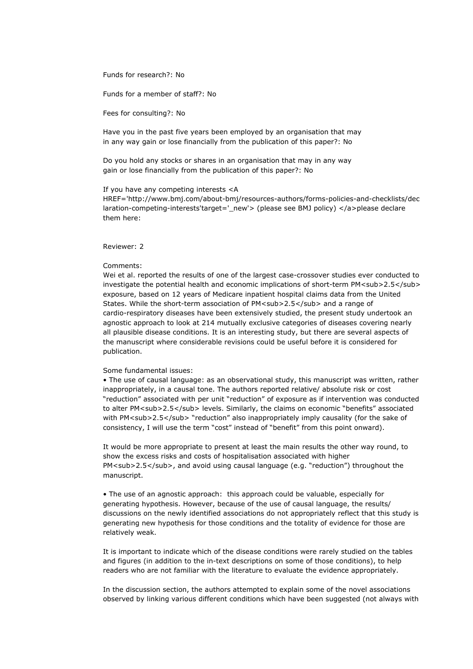Funds for research?: No

Funds for a member of staff?: No

Fees for consulting?: No

Have you in the past five years been employed by an organisation that may in any way gain or lose financially from the publication of this paper?: No

Do you hold any stocks or shares in an organisation that may in any way gain or lose financially from the publication of this paper?: No

### If you have any competing interests <A

HREF='http://www.bmj.com/about-bmj/resources-authors/forms-policies-and-checklists/dec laration-competing-interests'target='\_new'> (please see BMJ policy) </a>please declare them here:

# Reviewer: 2

#### Comments:

Wei et al. reported the results of one of the largest case-crossover studies ever conducted to investigate the potential health and economic implications of short-term PM<sub>2.5</sub> exposure, based on 12 years of Medicare inpatient hospital claims data from the United States. While the short-term association of PM<sub>2.5</sub> and a range of cardio-respiratory diseases have been extensively studied, the present study undertook an agnostic approach to look at 214 mutually exclusive categories of diseases covering nearly all plausible disease conditions. It is an interesting study, but there are several aspects of the manuscript where considerable revisions could be useful before it is considered for publication.

# Some fundamental issues:

• The use of causal language: as an observational study, this manuscript was written, rather inappropriately, in a causal tone. The authors reported relative/ absolute risk or cost "reduction" associated with per unit "reduction" of exposure as if intervention was conducted to alter PM<sub>2.5</sub> levels. Similarly, the claims on economic "benefits" associated with PM<sub>2.5</sub> "reduction" also inappropriately imply causality (for the sake of consistency, I will use the term "cost" instead of "benefit" from this point onward).

It would be more appropriate to present at least the main results the other way round, to show the excess risks and costs of hospitalisation associated with higher PM<sub>2.5</sub>, and avoid using causal language (e.g. "reduction") throughout the manuscript.

• The use of an agnostic approach: this approach could be valuable, especially for generating hypothesis. However, because of the use of causal language, the results/ discussions on the newly identified associations do not appropriately reflect that this study is generating new hypothesis for those conditions and the totality of evidence for those are relatively weak.

It is important to indicate which of the disease conditions were rarely studied on the tables and figures (in addition to the in-text descriptions on some of those conditions), to help readers who are not familiar with the literature to evaluate the evidence appropriately.

In the discussion section, the authors attempted to explain some of the novel associations observed by linking various different conditions which have been suggested (not always with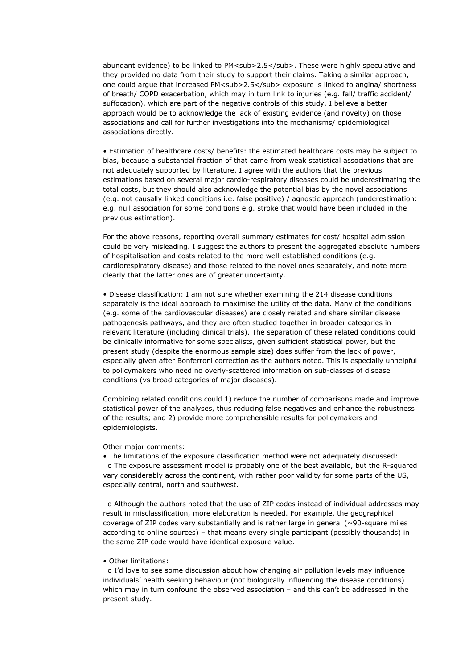abundant evidence) to be linked to PM<sub>2.5</sub>. These were highly speculative and they provided no data from their study to support their claims. Taking a similar approach, one could argue that increased PM<sub>2.5</sub> exposure is linked to angina/ shortness of breath/ COPD exacerbation, which may in turn link to injuries (e.g. fall/ traffic accident/ suffocation), which are part of the negative controls of this study. I believe a better approach would be to acknowledge the lack of existing evidence (and novelty) on those associations and call for further investigations into the mechanisms/ epidemiological associations directly.

• Estimation of healthcare costs/ benefits: the estimated healthcare costs may be subject to bias, because a substantial fraction of that came from weak statistical associations that are not adequately supported by literature. I agree with the authors that the previous estimations based on several major cardio-respiratory diseases could be underestimating the total costs, but they should also acknowledge the potential bias by the novel associations (e.g. not causally linked conditions i.e. false positive) / agnostic approach (underestimation: e.g. null association for some conditions e.g. stroke that would have been included in the previous estimation).

For the above reasons, reporting overall summary estimates for cost/ hospital admission could be very misleading. I suggest the authors to present the aggregated absolute numbers of hospitalisation and costs related to the more well-established conditions (e.g. cardiorespiratory disease) and those related to the novel ones separately, and note more clearly that the latter ones are of greater uncertainty.

• Disease classification: I am not sure whether examining the 214 disease conditions separately is the ideal approach to maximise the utility of the data. Many of the conditions (e.g. some of the cardiovascular diseases) are closely related and share similar disease pathogenesis pathways, and they are often studied together in broader categories in relevant literature (including clinical trials). The separation of these related conditions could be clinically informative for some specialists, given sufficient statistical power, but the present study (despite the enormous sample size) does suffer from the lack of power, especially given after Bonferroni correction as the authors noted. This is especially unhelpful to policymakers who need no overly-scattered information on sub-classes of disease conditions (vs broad categories of major diseases).

Combining related conditions could 1) reduce the number of comparisons made and improve statistical power of the analyses, thus reducing false negatives and enhance the robustness of the results; and 2) provide more comprehensible results for policymakers and epidemiologists.

Other major comments:

• The limitations of the exposure classification method were not adequately discussed: o The exposure assessment model is probably one of the best available, but the R-squared vary considerably across the continent, with rather poor validity for some parts of the US, especially central, north and southwest.

o Although the authors noted that the use of ZIP codes instead of individual addresses may result in misclassification, more elaboration is needed. For example, the geographical coverage of ZIP codes vary substantially and is rather large in general (~90-square miles according to online sources) – that means every single participant (possibly thousands) in the same ZIP code would have identical exposure value.

## • Other limitations:

o I'd love to see some discussion about how changing air pollution levels may influence individuals' health seeking behaviour (not biologically influencing the disease conditions) which may in turn confound the observed association – and this can't be addressed in the present study.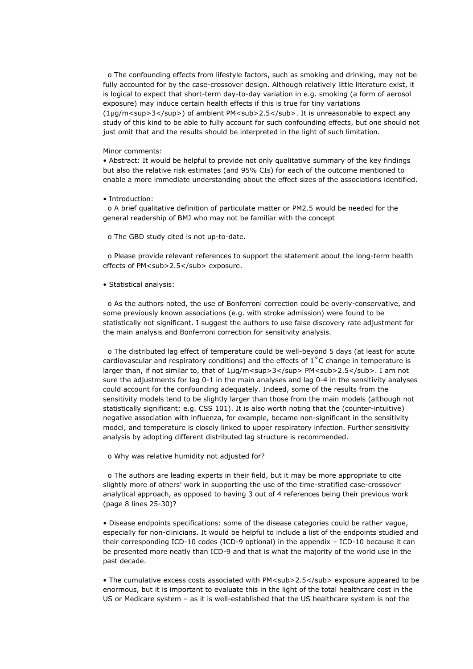o The confounding effects from lifestyle factors, such as smoking and drinking, may not be fully accounted for by the case-crossover design. Although relatively little literature exist, it is logical to expect that short-term day-to-day variation in e.g. smoking (a form of aerosol exposure) may induce certain health effects if this is true for tiny variations (1µg/m<sup>3</sup>) of ambient PM<sub>2.5</sub>. It is unreasonable to expect any study of this kind to be able to fully account for such confounding effects, but one should not just omit that and the results should be interpreted in the light of such limitation.

### Minor comments:

• Abstract: It would be helpful to provide not only qualitative summary of the key findings but also the relative risk estimates (and 95% CIs) for each of the outcome mentioned to enable a more immediate understanding about the effect sizes of the associations identified.

### • Introduction:

o A brief qualitative definition of particulate matter or PM2.5 would be needed for the general readership of BMJ who may not be familiar with the concept

o The GBD study cited is not up-to-date.

o Please provide relevant references to support the statement about the long-term health effects of PM<sub>2.5</sub> exposure.

### • Statistical analysis:

o As the authors noted, the use of Bonferroni correction could be overly-conservative, and some previously known associations (e.g. with stroke admission) were found to be statistically not significant. I suggest the authors to use false discovery rate adjustment for the main analysis and Bonferroni correction for sensitivity analysis.

o The distributed lag effect of temperature could be well-beyond 5 days (at least for acute cardiovascular and respiratory conditions) and the effects of  $1^{\circ}$ C change in temperature is larger than, if not similar to, that of 1µg/m<sup>3</sup> PM<sub>2.5</sub>. I am not sure the adjustments for lag 0-1 in the main analyses and lag 0-4 in the sensitivity analyses could account for the confounding adequately. Indeed, some of the results from the sensitivity models tend to be slightly larger than those from the main models (although not statistically significant; e.g. CSS 101). It is also worth noting that the (counter-intuitive) negative association with influenza, for example, became non-significant in the sensitivity model, and temperature is closely linked to upper respiratory infection. Further sensitivity analysis by adopting different distributed lag structure is recommended.

o Why was relative humidity not adjusted for?

o The authors are leading experts in their field, but it may be more appropriate to cite slightly more of others' work in supporting the use of the time-stratified case-crossover analytical approach, as opposed to having 3 out of 4 references being their previous work (page 8 lines 25-30)?

• Disease endpoints specifications: some of the disease categories could be rather vague, especially for non-clinicians. It would be helpful to include a list of the endpoints studied and their corresponding ICD-10 codes (ICD-9 optional) in the appendix – ICD-10 because it can be presented more neatly than ICD-9 and that is what the majority of the world use in the past decade.

• The cumulative excess costs associated with PM<sub>2.5</sub> exposure appeared to be enormous, but it is important to evaluate this in the light of the total healthcare cost in the US or Medicare system – as it is well-established that the US healthcare system is not the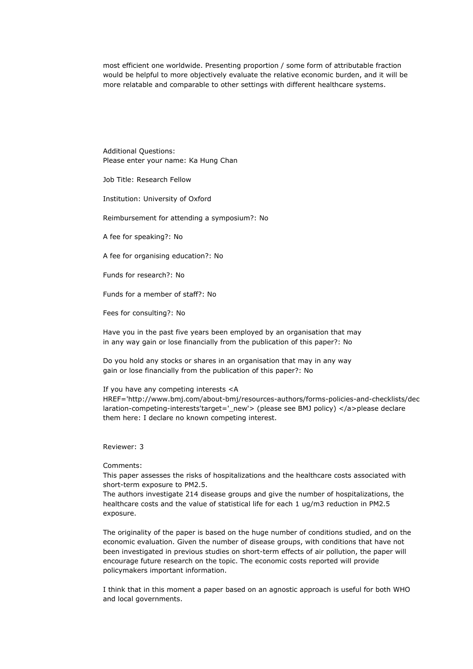most efficient one worldwide. Presenting proportion / some form of attributable fraction would be helpful to more objectively evaluate the relative economic burden, and it will be more relatable and comparable to other settings with different healthcare systems.

Additional Questions: Please enter your name: Ka Hung Chan

Job Title: Research Fellow

Institution: University of Oxford

Reimbursement for attending a symposium?: No

A fee for speaking?: No

A fee for organising education?: No

Funds for research?: No

Funds for a member of staff?: No

Fees for consulting?: No

Have you in the past five years been employed by an organisation that may in any way gain or lose financially from the publication of this paper?: No

Do you hold any stocks or shares in an organisation that may in any way gain or lose financially from the publication of this paper?: No

#### If you have any competing interests <A

HREF='http://www.bmj.com/about-bmj/resources-authors/forms-policies-and-checklists/dec laration-competing-interests'target='\_new'> (please see BMJ policy) </a>please declare them here: I declare no known competing interest.

# Reviewer: 3

Comments:

This paper assesses the risks of hospitalizations and the healthcare costs associated with short-term exposure to PM2.5.

The authors investigate 214 disease groups and give the number of hospitalizations, the healthcare costs and the value of statistical life for each 1 ug/m3 reduction in PM2.5 exposure.

The originality of the paper is based on the huge number of conditions studied, and on the economic evaluation. Given the number of disease groups, with conditions that have not been investigated in previous studies on short-term effects of air pollution, the paper will encourage future research on the topic. The economic costs reported will provide policymakers important information.

I think that in this moment a paper based on an agnostic approach is useful for both WHO and local governments.